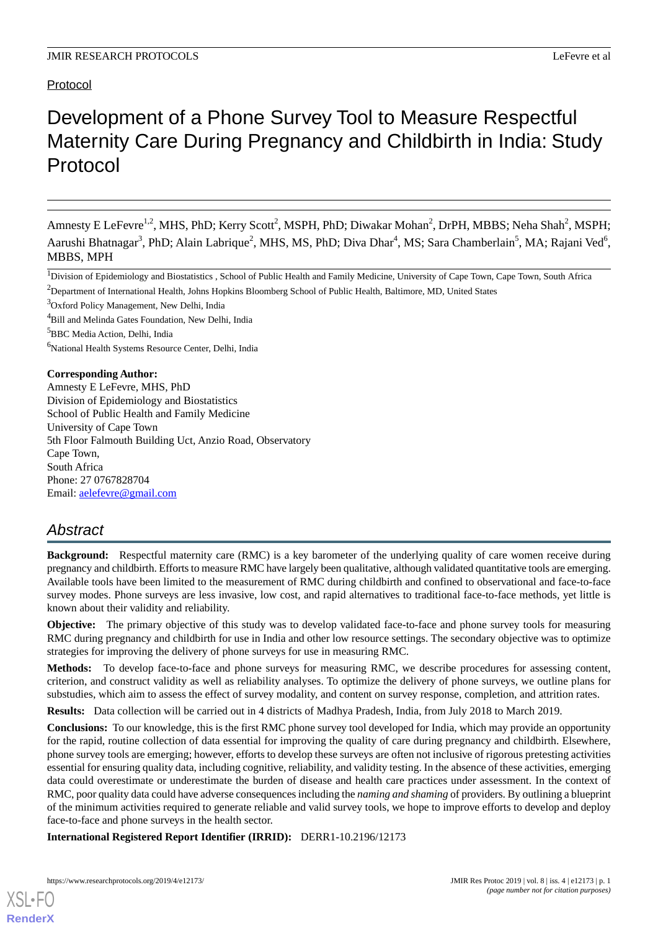# Protocol

# Development of a Phone Survey Tool to Measure Respectful Maternity Care During Pregnancy and Childbirth in India: Study Protocol

Amnesty E LeFevre<sup>1,2</sup>, MHS, PhD; Kerry Scott<sup>2</sup>, MSPH, PhD; Diwakar Mohan<sup>2</sup>, DrPH, MBBS; Neha Shah<sup>2</sup>, MSPH; Aarushi Bhatnagar<sup>3</sup>, PhD; Alain Labrique<sup>2</sup>, MHS, MS, PhD; Diva Dhar<sup>4</sup>, MS; Sara Chamberlain<sup>5</sup>, MA; Rajani Ved<sup>6</sup>, MBBS, MPH

<sup>1</sup>Division of Epidemiology and Biostatistics, School of Public Health and Family Medicine, University of Cape Town, Cape Town, South Africa <sup>2</sup>Department of International Health, Johns Hopkins Bloomberg School of Public Health, Baltimore, MD, United States

<sup>3</sup>Oxford Policy Management, New Delhi, India

<sup>4</sup>Bill and Melinda Gates Foundation, New Delhi, India

<sup>5</sup>BBC Media Action, Delhi, India

<sup>6</sup>National Health Systems Resource Center, Delhi, India

#### **Corresponding Author:**

Amnesty E LeFevre, MHS, PhD Division of Epidemiology and Biostatistics School of Public Health and Family Medicine University of Cape Town 5th Floor Falmouth Building Uct, Anzio Road, Observatory Cape Town, South Africa Phone: 27 0767828704 Email: [aelefevre@gmail.com](mailto:aelefevre@gmail.com)

# *Abstract*

**Background:** Respectful maternity care (RMC) is a key barometer of the underlying quality of care women receive during pregnancy and childbirth. Efforts to measure RMC have largely been qualitative, although validated quantitative tools are emerging. Available tools have been limited to the measurement of RMC during childbirth and confined to observational and face-to-face survey modes. Phone surveys are less invasive, low cost, and rapid alternatives to traditional face-to-face methods, yet little is known about their validity and reliability.

**Objective:** The primary objective of this study was to develop validated face-to-face and phone survey tools for measuring RMC during pregnancy and childbirth for use in India and other low resource settings. The secondary objective was to optimize strategies for improving the delivery of phone surveys for use in measuring RMC.

**Methods:** To develop face-to-face and phone surveys for measuring RMC, we describe procedures for assessing content, criterion, and construct validity as well as reliability analyses. To optimize the delivery of phone surveys, we outline plans for substudies, which aim to assess the effect of survey modality, and content on survey response, completion, and attrition rates.

**Results:** Data collection will be carried out in 4 districts of Madhya Pradesh, India, from July 2018 to March 2019.

**Conclusions:** To our knowledge, this is the first RMC phone survey tool developed for India, which may provide an opportunity for the rapid, routine collection of data essential for improving the quality of care during pregnancy and childbirth. Elsewhere, phone survey tools are emerging; however, efforts to develop these surveys are often not inclusive of rigorous pretesting activities essential for ensuring quality data, including cognitive, reliability, and validity testing. In the absence of these activities, emerging data could overestimate or underestimate the burden of disease and health care practices under assessment. In the context of RMC, poor quality data could have adverse consequences including the *naming and shaming* of providers. By outlining a blueprint of the minimum activities required to generate reliable and valid survey tools, we hope to improve efforts to develop and deploy face-to-face and phone surveys in the health sector.

**International Registered Report Identifier (IRRID):** DERR1-10.2196/12173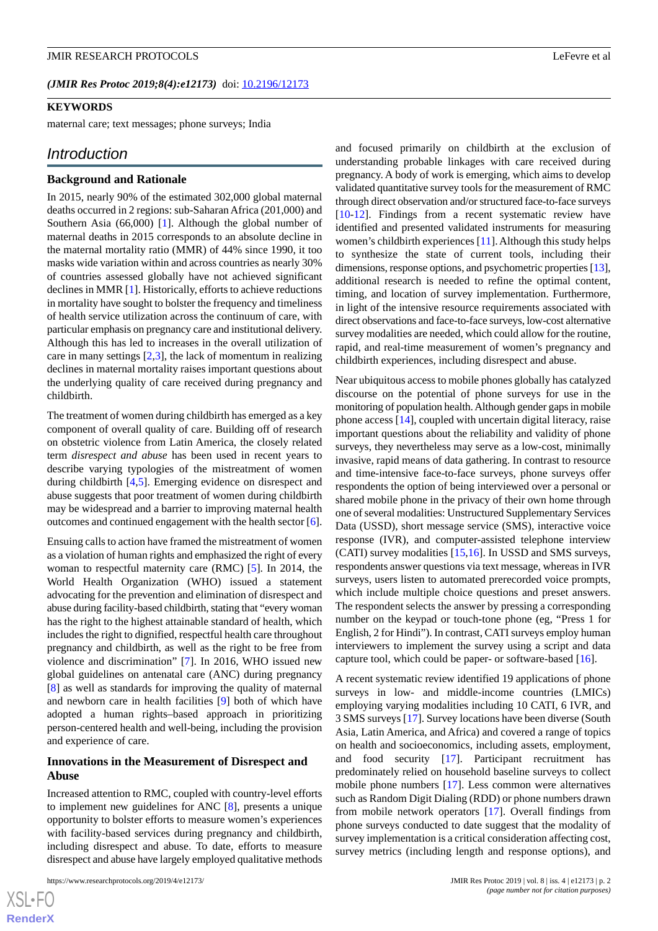#### **KEYWORDS**

maternal care; text messages; phone surveys; India

#### *Introduction*

#### **Background and Rationale**

In 2015, nearly 90% of the estimated 302,000 global maternal deaths occurred in 2 regions: sub-Saharan Africa (201,000) and Southern Asia (66,000) [\[1\]](#page-10-0). Although the global number of maternal deaths in 2015 corresponds to an absolute decline in the maternal mortality ratio (MMR) of 44% since 1990, it too masks wide variation within and across countries as nearly 30% of countries assessed globally have not achieved significant declines in MMR [[1\]](#page-10-0). Historically, efforts to achieve reductions in mortality have sought to bolster the frequency and timeliness of health service utilization across the continuum of care, with particular emphasis on pregnancy care and institutional delivery. Although this has led to increases in the overall utilization of care in many settings  $[2,3]$  $[2,3]$  $[2,3]$  $[2,3]$ , the lack of momentum in realizing declines in maternal mortality raises important questions about the underlying quality of care received during pregnancy and childbirth.

The treatment of women during childbirth has emerged as a key component of overall quality of care. Building off of research on obstetric violence from Latin America, the closely related term *disrespect and abuse* has been used in recent years to describe varying typologies of the mistreatment of women during childbirth [[4,](#page-10-3)[5](#page-10-4)]. Emerging evidence on disrespect and abuse suggests that poor treatment of women during childbirth may be widespread and a barrier to improving maternal health outcomes and continued engagement with the health sector [[6\]](#page-10-5).

Ensuing calls to action have framed the mistreatment of women as a violation of human rights and emphasized the right of every woman to respectful maternity care (RMC) [\[5](#page-10-4)]. In 2014, the World Health Organization (WHO) issued a statement advocating for the prevention and elimination of disrespect and abuse during facility-based childbirth, stating that "every woman has the right to the highest attainable standard of health, which includes the right to dignified, respectful health care throughout pregnancy and childbirth, as well as the right to be free from violence and discrimination" [\[7](#page-10-6)]. In 2016, WHO issued new global guidelines on antenatal care (ANC) during pregnancy [[8\]](#page-10-7) as well as standards for improving the quality of maternal and newborn care in health facilities [[9\]](#page-10-8) both of which have adopted a human rights–based approach in prioritizing person-centered health and well-being, including the provision and experience of care.

#### **Innovations in the Measurement of Disrespect and Abuse**

Increased attention to RMC, coupled with country-level efforts to implement new guidelines for ANC [\[8](#page-10-7)], presents a unique opportunity to bolster efforts to measure women's experiences with facility-based services during pregnancy and childbirth, including disrespect and abuse. To date, efforts to measure disrespect and abuse have largely employed qualitative methods

and focused primarily on childbirth at the exclusion of understanding probable linkages with care received during pregnancy. A body of work is emerging, which aims to develop validated quantitative survey tools for the measurement of RMC through direct observation and/or structured face-to-face surveys [[10](#page-10-9)[-12](#page-10-10)]. Findings from a recent systematic review have identified and presented validated instruments for measuring women's childbirth experiences [[11\]](#page-10-11). Although this study helps to synthesize the state of current tools, including their dimensions, response options, and psychometric properties [\[13](#page-10-12)], additional research is needed to refine the optimal content, timing, and location of survey implementation. Furthermore, in light of the intensive resource requirements associated with direct observations and face-to-face surveys, low-cost alternative survey modalities are needed, which could allow for the routine, rapid, and real-time measurement of women's pregnancy and childbirth experiences, including disrespect and abuse.

Near ubiquitous access to mobile phones globally has catalyzed discourse on the potential of phone surveys for use in the monitoring of population health. Although gender gaps in mobile phone access [\[14](#page-10-13)], coupled with uncertain digital literacy, raise important questions about the reliability and validity of phone surveys, they nevertheless may serve as a low-cost, minimally invasive, rapid means of data gathering. In contrast to resource and time-intensive face-to-face surveys, phone surveys offer respondents the option of being interviewed over a personal or shared mobile phone in the privacy of their own home through one of several modalities: Unstructured Supplementary Services Data (USSD), short message service (SMS), interactive voice response (IVR), and computer-assisted telephone interview (CATI) survey modalities [\[15](#page-11-0),[16\]](#page-11-1). In USSD and SMS surveys, respondents answer questions via text message, whereas in IVR surveys, users listen to automated prerecorded voice prompts, which include multiple choice questions and preset answers. The respondent selects the answer by pressing a corresponding number on the keypad or touch-tone phone (eg, "Press 1 for English, 2 for Hindi"). In contrast, CATI surveys employ human interviewers to implement the survey using a script and data capture tool, which could be paper- or software-based [[16\]](#page-11-1).

A recent systematic review identified 19 applications of phone surveys in low- and middle-income countries (LMICs) employing varying modalities including 10 CATI, 6 IVR, and 3 SMS surveys [\[17](#page-11-2)]. Survey locations have been diverse (South Asia, Latin America, and Africa) and covered a range of topics on health and socioeconomics, including assets, employment, and food security [[17\]](#page-11-2). Participant recruitment has predominately relied on household baseline surveys to collect mobile phone numbers [\[17](#page-11-2)]. Less common were alternatives such as Random Digit Dialing (RDD) or phone numbers drawn from mobile network operators [[17\]](#page-11-2). Overall findings from phone surveys conducted to date suggest that the modality of survey implementation is a critical consideration affecting cost, survey metrics (including length and response options), and

 $XS$ -FO **[RenderX](http://www.renderx.com/)**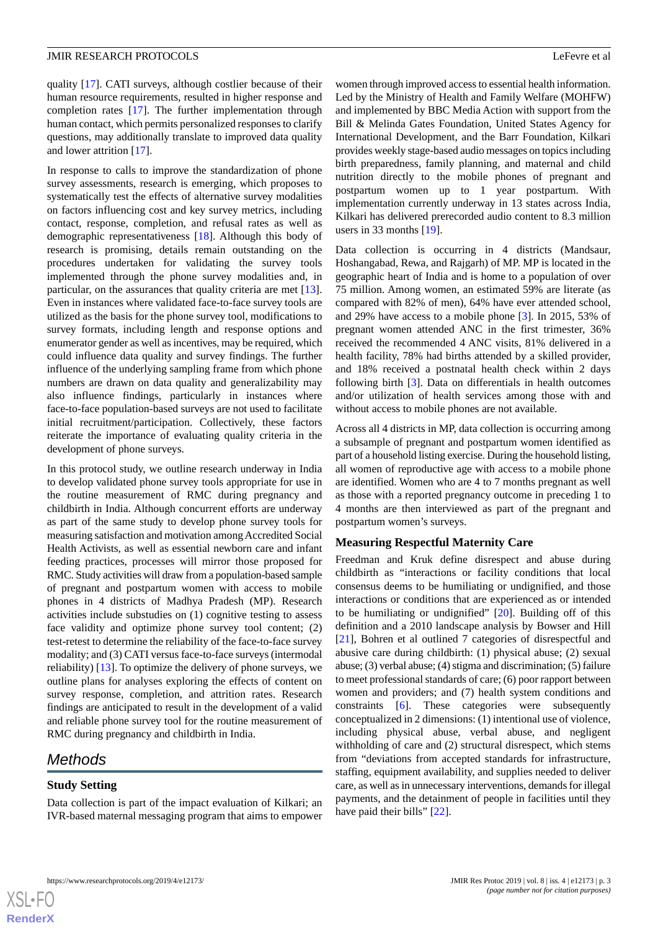quality [[17\]](#page-11-2). CATI surveys, although costlier because of their human resource requirements, resulted in higher response and completion rates [[17\]](#page-11-2). The further implementation through human contact, which permits personalized responses to clarify questions, may additionally translate to improved data quality and lower attrition [[17\]](#page-11-2).

In response to calls to improve the standardization of phone survey assessments, research is emerging, which proposes to systematically test the effects of alternative survey modalities on factors influencing cost and key survey metrics, including contact, response, completion, and refusal rates as well as demographic representativeness [\[18](#page-11-3)]. Although this body of research is promising, details remain outstanding on the procedures undertaken for validating the survey tools implemented through the phone survey modalities and, in particular, on the assurances that quality criteria are met [[13\]](#page-10-12). Even in instances where validated face-to-face survey tools are utilized as the basis for the phone survey tool, modifications to survey formats, including length and response options and enumerator gender as well as incentives, may be required, which could influence data quality and survey findings. The further influence of the underlying sampling frame from which phone numbers are drawn on data quality and generalizability may also influence findings, particularly in instances where face-to-face population-based surveys are not used to facilitate initial recruitment/participation. Collectively, these factors reiterate the importance of evaluating quality criteria in the development of phone surveys.

In this protocol study, we outline research underway in India to develop validated phone survey tools appropriate for use in the routine measurement of RMC during pregnancy and childbirth in India. Although concurrent efforts are underway as part of the same study to develop phone survey tools for measuring satisfaction and motivation among Accredited Social Health Activists, as well as essential newborn care and infant feeding practices, processes will mirror those proposed for RMC. Study activities will draw from a population-based sample of pregnant and postpartum women with access to mobile phones in 4 districts of Madhya Pradesh (MP). Research activities include substudies on (1) cognitive testing to assess face validity and optimize phone survey tool content; (2) test-retest to determine the reliability of the face-to-face survey modality; and (3) CATI versus face-to-face surveys (intermodal reliability) [\[13](#page-10-12)]. To optimize the delivery of phone surveys, we outline plans for analyses exploring the effects of content on survey response, completion, and attrition rates. Research findings are anticipated to result in the development of a valid and reliable phone survey tool for the routine measurement of RMC during pregnancy and childbirth in India.

# *Methods*

#### **Study Setting**

Data collection is part of the impact evaluation of Kilkari; an IVR-based maternal messaging program that aims to empower women through improved access to essential health information. Led by the Ministry of Health and Family Welfare (MOHFW) and implemented by BBC Media Action with support from the Bill & Melinda Gates Foundation, United States Agency for International Development, and the Barr Foundation, Kilkari provides weekly stage-based audio messages on topics including birth preparedness, family planning, and maternal and child nutrition directly to the mobile phones of pregnant and postpartum women up to 1 year postpartum. With implementation currently underway in 13 states across India, Kilkari has delivered prerecorded audio content to 8.3 million users in 33 months [[19\]](#page-11-4).

Data collection is occurring in 4 districts (Mandsaur, Hoshangabad, Rewa, and Rajgarh) of MP. MP is located in the geographic heart of India and is home to a population of over 75 million. Among women, an estimated 59% are literate (as compared with 82% of men), 64% have ever attended school, and 29% have access to a mobile phone [\[3](#page-10-2)]. In 2015, 53% of pregnant women attended ANC in the first trimester, 36% received the recommended 4 ANC visits, 81% delivered in a health facility, 78% had births attended by a skilled provider, and 18% received a postnatal health check within 2 days following birth [[3\]](#page-10-2). Data on differentials in health outcomes and/or utilization of health services among those with and without access to mobile phones are not available.

Across all 4 districts in MP, data collection is occurring among a subsample of pregnant and postpartum women identified as part of a household listing exercise. During the household listing, all women of reproductive age with access to a mobile phone are identified. Women who are 4 to 7 months pregnant as well as those with a reported pregnancy outcome in preceding 1 to 4 months are then interviewed as part of the pregnant and postpartum women's surveys.

#### **Measuring Respectful Maternity Care**

Freedman and Kruk define disrespect and abuse during childbirth as "interactions or facility conditions that local consensus deems to be humiliating or undignified, and those interactions or conditions that are experienced as or intended to be humiliating or undignified" [\[20](#page-11-5)]. Building off of this definition and a 2010 landscape analysis by Bowser and Hill [[21\]](#page-11-6), Bohren et al outlined 7 categories of disrespectful and abusive care during childbirth: (1) physical abuse; (2) sexual abuse; (3) verbal abuse; (4) stigma and discrimination; (5) failure to meet professional standards of care; (6) poor rapport between women and providers; and (7) health system conditions and constraints [[6](#page-10-5)]. These categories were subsequently conceptualized in 2 dimensions: (1) intentional use of violence, including physical abuse, verbal abuse, and negligent withholding of care and (2) structural disrespect, which stems from "deviations from accepted standards for infrastructure, staffing, equipment availability, and supplies needed to deliver care, as well as in unnecessary interventions, demands for illegal payments, and the detainment of people in facilities until they have paid their bills" [[22\]](#page-11-7).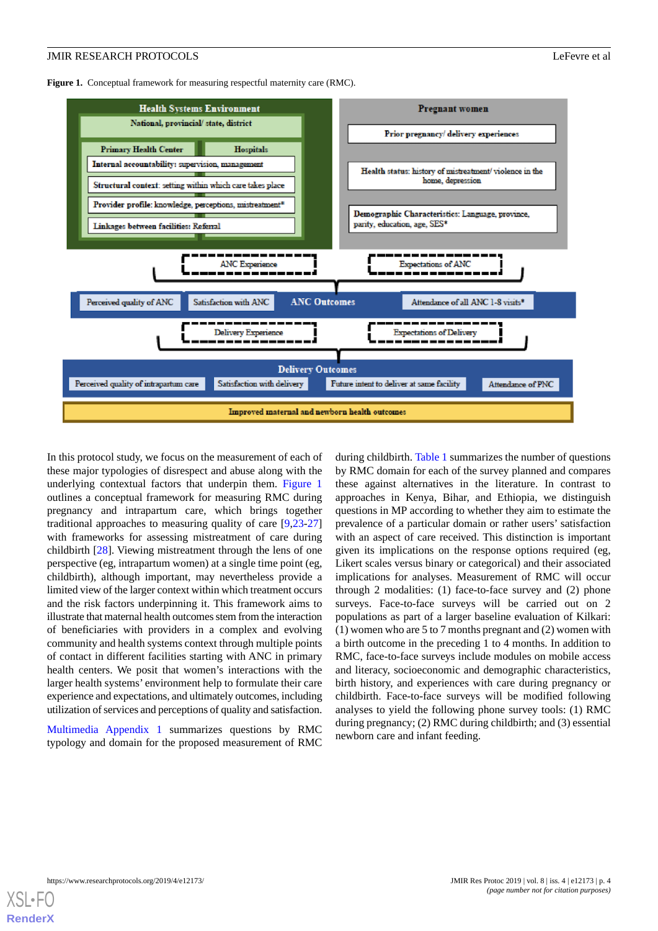<span id="page-3-0"></span>Figure 1. Conceptual framework for measuring respectful maternity care (RMC).



In this protocol study, we focus on the measurement of each of these major typologies of disrespect and abuse along with the underlying contextual factors that underpin them. [Figure 1](#page-3-0) outlines a conceptual framework for measuring RMC during pregnancy and intrapartum care, which brings together traditional approaches to measuring quality of care [[9](#page-10-8),[23](#page-11-8)[-27](#page-11-9)] with frameworks for assessing mistreatment of care during childbirth [[28\]](#page-11-10). Viewing mistreatment through the lens of one perspective (eg, intrapartum women) at a single time point (eg, childbirth), although important, may nevertheless provide a limited view of the larger context within which treatment occurs and the risk factors underpinning it. This framework aims to illustrate that maternal health outcomes stem from the interaction of beneficiaries with providers in a complex and evolving community and health systems context through multiple points of contact in different facilities starting with ANC in primary health centers. We posit that women's interactions with the larger health systems' environment help to formulate their care experience and expectations, and ultimately outcomes, including utilization of services and perceptions of quality and satisfaction.

[Multimedia Appendix 1](#page-10-14) summarizes questions by RMC typology and domain for the proposed measurement of RMC during childbirth. [Table 1](#page-4-0) summarizes the number of questions by RMC domain for each of the survey planned and compares these against alternatives in the literature. In contrast to approaches in Kenya, Bihar, and Ethiopia, we distinguish questions in MP according to whether they aim to estimate the prevalence of a particular domain or rather users' satisfaction with an aspect of care received. This distinction is important given its implications on the response options required (eg, Likert scales versus binary or categorical) and their associated implications for analyses. Measurement of RMC will occur through 2 modalities: (1) face-to-face survey and (2) phone surveys. Face-to-face surveys will be carried out on 2 populations as part of a larger baseline evaluation of Kilkari: (1) women who are 5 to 7 months pregnant and (2) women with a birth outcome in the preceding 1 to 4 months. In addition to RMC, face-to-face surveys include modules on mobile access and literacy, socioeconomic and demographic characteristics, birth history, and experiences with care during pregnancy or childbirth. Face-to-face surveys will be modified following analyses to yield the following phone survey tools: (1) RMC during pregnancy; (2) RMC during childbirth; and (3) essential newborn care and infant feeding.

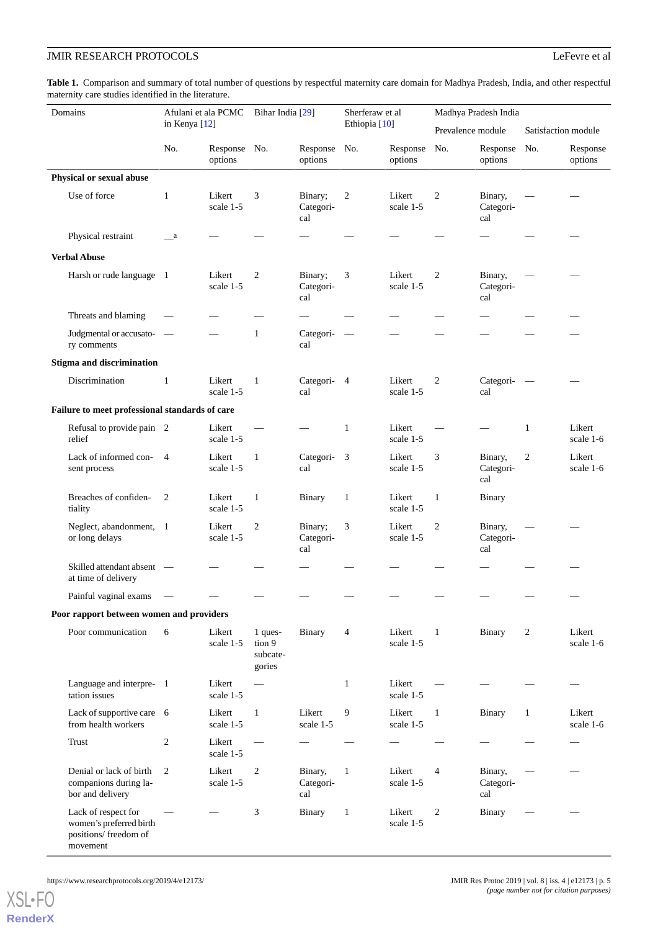<span id="page-4-0"></span>**Table 1.** Comparison and summary of total number of questions by respectful maternity care domain for Madhya Pradesh, India, and other respectful maternity care studies identified in the literature.

| Domains                                                                             | Afulani et ala PCMC<br>in Kenya [12] |                         | Bihar India [29]                        |                             | Sherferaw et al<br>Ethiopia <sup>[10]</sup> |                     | Madhya Pradesh India |                             |                          |                     |
|-------------------------------------------------------------------------------------|--------------------------------------|-------------------------|-----------------------------------------|-----------------------------|---------------------------------------------|---------------------|----------------------|-----------------------------|--------------------------|---------------------|
|                                                                                     |                                      |                         |                                         |                             |                                             |                     | Prevalence module    |                             | Satisfaction module      |                     |
|                                                                                     | No.                                  | Response No.<br>options |                                         | Response No.<br>options     |                                             | Response<br>options | No.                  | Response<br>options         | No.                      | Response<br>options |
| Physical or sexual abuse                                                            |                                      |                         |                                         |                             |                                             |                     |                      |                             |                          |                     |
| Use of force                                                                        | 1                                    | Likert<br>scale 1-5     | 3                                       | Binary;<br>Categori-<br>cal | $\overline{2}$                              | Likert<br>scale 1-5 | $\overline{2}$       | Binary,<br>Categori-<br>cal |                          |                     |
| Physical restraint                                                                  | a a                                  |                         |                                         |                             |                                             |                     |                      |                             |                          |                     |
| <b>Verbal Abuse</b>                                                                 |                                      |                         |                                         |                             |                                             |                     |                      |                             |                          |                     |
| Harsh or rude language 1                                                            |                                      | Likert<br>scale 1-5     | $\overline{c}$                          | Binary;<br>Categori-<br>cal | 3                                           | Likert<br>scale 1-5 | $\overline{2}$       | Binary,<br>Categori-<br>cal |                          |                     |
| Threats and blaming                                                                 |                                      |                         |                                         |                             |                                             |                     |                      |                             |                          |                     |
| Judgmental or accusato- —<br>ry comments                                            |                                      | -                       | $\mathbf{1}$                            | Categori-<br>cal            | $\overline{\phantom{a}}$                    |                     |                      |                             |                          |                     |
| <b>Stigma and discrimination</b>                                                    |                                      |                         |                                         |                             |                                             |                     |                      |                             |                          |                     |
| Discrimination                                                                      | $\mathbf{1}$                         | Likert<br>scale 1-5     | $\mathbf{1}$                            | Categori- 4<br>cal          |                                             | Likert<br>scale 1-5 | 2                    | Categori-<br>cal            | $\overline{\phantom{a}}$ |                     |
| Failure to meet professional standards of care                                      |                                      |                         |                                         |                             |                                             |                     |                      |                             |                          |                     |
| Refusal to provide pain 2<br>relief                                                 |                                      | Likert<br>scale 1-5     |                                         |                             | 1                                           | Likert<br>scale 1-5 |                      |                             | 1                        | Likert<br>scale 1-6 |
| Lack of informed con-<br>sent process                                               | $\overline{4}$                       | Likert<br>scale 1-5     | $\mathbf{1}$                            | Categori-<br>cal            | $\overline{\mathbf{3}}$                     | Likert<br>scale 1-5 | 3                    | Binary,<br>Categori-<br>cal | $\overline{c}$           | Likert<br>scale 1-6 |
| Breaches of confiden-<br>tiality                                                    | $\overline{2}$                       | Likert<br>scale 1-5     | $\mathbf{1}$                            | Binary                      | $\mathbf{1}$                                | Likert<br>scale 1-5 | $\mathbf{1}$         | Binary                      |                          |                     |
| Neglect, abandonment, 1<br>or long delays                                           |                                      | Likert<br>scale 1-5     | $\overline{2}$                          | Binary;<br>Categori-<br>cal | 3                                           | Likert<br>scale 1-5 | $\overline{2}$       | Binary,<br>Categori-<br>cal |                          |                     |
| Skilled attendant absent —<br>at time of delivery                                   |                                      |                         |                                         |                             |                                             |                     |                      |                             |                          |                     |
| Painful vaginal exams                                                               |                                      |                         |                                         |                             |                                             |                     |                      |                             |                          |                     |
| Poor rapport between women and providers                                            |                                      |                         |                                         |                             |                                             |                     |                      |                             |                          |                     |
| Poor communication                                                                  | 6                                    | Likert<br>scale 1-5     | 1 ques-<br>tion 9<br>subcate-<br>gories | Binary                      | 4                                           | Likert<br>scale 1-5 | $\mathbf{1}$         | <b>Binary</b>               | 2                        | Likert<br>scale 1-6 |
| Language and interpre- 1<br>tation issues                                           |                                      | Likert<br>scale 1-5     |                                         |                             | $\mathbf{1}$                                | Likert<br>scale 1-5 |                      |                             |                          |                     |
| Lack of supportive care 6<br>from health workers                                    |                                      | Likert<br>scale 1-5     | $\mathbf{1}$                            | Likert<br>scale 1-5         | 9                                           | Likert<br>scale 1-5 | $\mathbf{1}$         | <b>Binary</b>               | $\mathbf{1}$             | Likert<br>scale 1-6 |
| Trust                                                                               | $\overline{c}$                       | Likert<br>scale 1-5     |                                         |                             |                                             |                     |                      |                             |                          |                     |
| Denial or lack of birth<br>companions during la-<br>bor and delivery                | 2                                    | Likert<br>scale 1-5     | $\overline{c}$                          | Binary,<br>Categori-<br>cal | $\mathbf{1}$                                | Likert<br>scale 1-5 | 4                    | Binary,<br>Categori-<br>cal |                          |                     |
| Lack of respect for<br>women's preferred birth<br>positions/ freedom of<br>movement |                                      |                         | 3                                       | Binary                      | $\mathbf{1}$                                | Likert<br>scale 1-5 | $\overline{c}$       | Binary                      |                          |                     |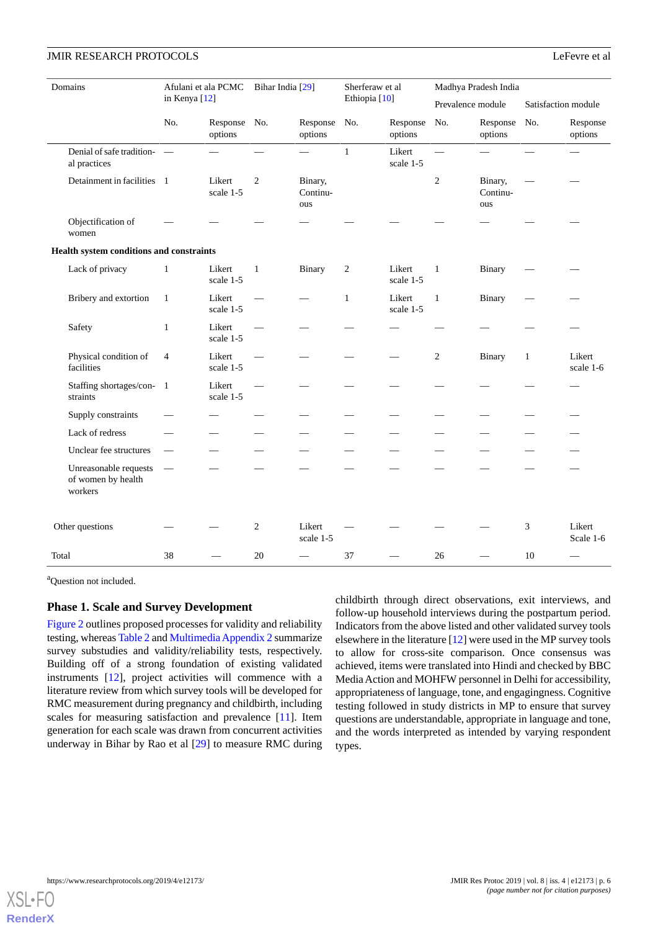| Domains                                  |                                                        | Afulani et ala PCMC<br>in Kenya [12] |                         | Bihar India [29] |                            | Sherferaw et al<br>Ethiopia <sup>[10]</sup> |                     | Madhya Pradesh India |                            |                     |                     |
|------------------------------------------|--------------------------------------------------------|--------------------------------------|-------------------------|------------------|----------------------------|---------------------------------------------|---------------------|----------------------|----------------------------|---------------------|---------------------|
|                                          |                                                        |                                      |                         |                  |                            |                                             |                     | Prevalence module    |                            | Satisfaction module |                     |
|                                          |                                                        | No.                                  | Response No.<br>options |                  | Response<br>options        | No.                                         | Response<br>options | No.                  | Response<br>options        | No.                 | Response<br>options |
|                                          | Denial of safe tradition- -<br>al practices            |                                      |                         |                  |                            | $\mathbf{1}$                                | Likert<br>scale 1-5 |                      |                            |                     |                     |
|                                          | Detainment in facilities 1                             |                                      | Likert<br>scale 1-5     | 2                | Binary,<br>Continu-<br>ous |                                             |                     | 2                    | Binary,<br>Continu-<br>ous |                     |                     |
|                                          | Objectification of<br>women                            |                                      |                         |                  |                            |                                             |                     |                      |                            |                     |                     |
| Health system conditions and constraints |                                                        |                                      |                         |                  |                            |                                             |                     |                      |                            |                     |                     |
|                                          | Lack of privacy                                        | $\mathbf{1}$                         | Likert<br>scale 1-5     | $\mathbf{1}$     | <b>Binary</b>              | 2                                           | Likert<br>scale 1-5 | $\mathbf{1}$         | Binary                     |                     |                     |
|                                          | Bribery and extortion                                  | $\mathbf{1}$                         | Likert<br>scale 1-5     |                  |                            | $\mathbf{1}$                                | Likert<br>scale 1-5 | $\mathbf{1}$         | <b>Binary</b>              |                     |                     |
|                                          | Safety                                                 | $\mathbf{1}$                         | Likert<br>scale 1-5     | $\qquad \qquad$  |                            |                                             |                     |                      |                            |                     |                     |
|                                          | Physical condition of<br>facilities                    | $\overline{4}$                       | Likert<br>scale 1-5     |                  |                            |                                             |                     | 2                    | Binary                     | $\mathbf{1}$        | Likert<br>scale 1-6 |
|                                          | Staffing shortages/con-<br>straints                    | $\overline{1}$                       | Likert<br>scale 1-5     |                  |                            |                                             |                     |                      |                            |                     |                     |
|                                          | Supply constraints                                     |                                      |                         |                  |                            |                                             |                     |                      |                            |                     |                     |
|                                          | Lack of redress                                        |                                      |                         |                  |                            |                                             |                     |                      |                            |                     |                     |
|                                          | Unclear fee structures                                 |                                      |                         |                  |                            |                                             |                     |                      |                            |                     |                     |
|                                          | Unreasonable requests<br>of women by health<br>workers |                                      |                         |                  |                            |                                             |                     |                      |                            |                     |                     |
|                                          | Other questions                                        |                                      |                         | 2                | Likert<br>scale 1-5        |                                             |                     |                      |                            | 3                   | Likert<br>Scale 1-6 |
| Total                                    |                                                        | 38                                   |                         | 20               |                            | 37                                          |                     | 26                   |                            | 10                  |                     |

<sup>a</sup>Question not included.

#### **Phase 1. Scale and Survey Development**

[Figure 2](#page-6-0) outlines proposed processes for validity and reliability testing, whereas [Table 2](#page-7-0) and [Multimedia Appendix 2](#page-10-15) summarize survey substudies and validity/reliability tests, respectively. Building off of a strong foundation of existing validated instruments [\[12](#page-10-10)], project activities will commence with a literature review from which survey tools will be developed for RMC measurement during pregnancy and childbirth, including scales for measuring satisfaction and prevalence [[11\]](#page-10-11). Item generation for each scale was drawn from concurrent activities underway in Bihar by Rao et al [[29\]](#page-11-11) to measure RMC during childbirth through direct observations, exit interviews, and follow-up household interviews during the postpartum period. Indicators from the above listed and other validated survey tools elsewhere in the literature [\[12](#page-10-10)] were used in the MP survey tools to allow for cross-site comparison. Once consensus was achieved, items were translated into Hindi and checked by BBC Media Action and MOHFW personnel in Delhi for accessibility, appropriateness of language, tone, and engagingness. Cognitive testing followed in study districts in MP to ensure that survey questions are understandable, appropriate in language and tone, and the words interpreted as intended by varying respondent types.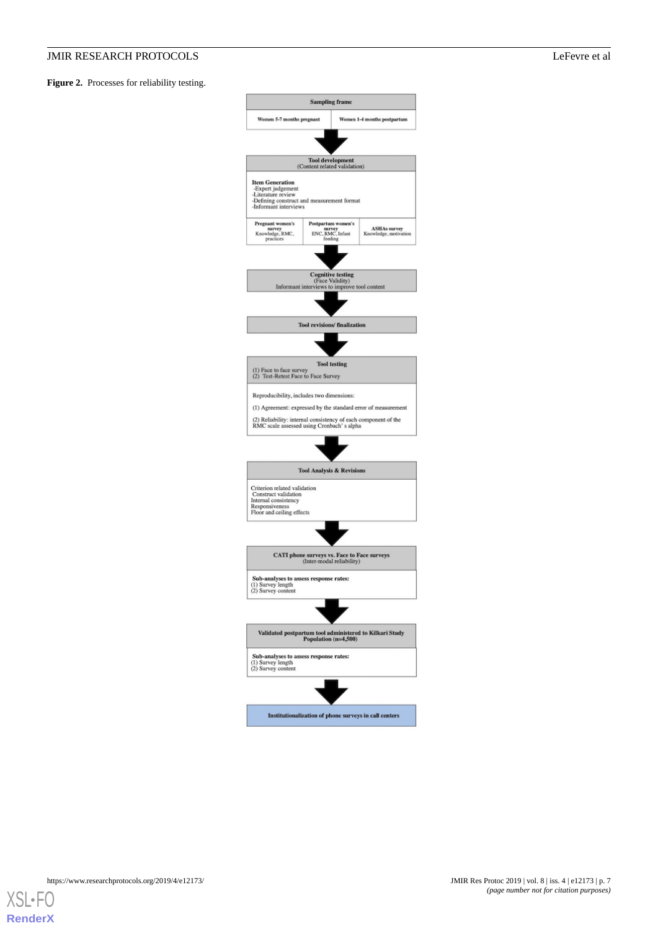<span id="page-6-0"></span>Figure 2. Processes for reliability testing.



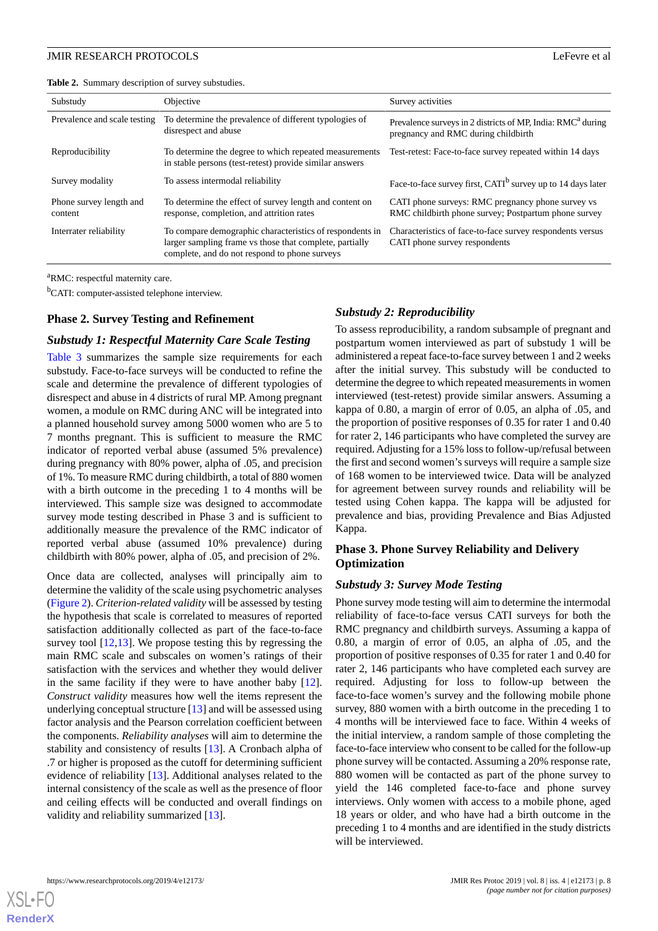<span id="page-7-0"></span>**Table 2.** Summary description of survey substudies.

| Substudy                           | Objective                                                                                                                                                            | Survey activities                                                                                              |
|------------------------------------|----------------------------------------------------------------------------------------------------------------------------------------------------------------------|----------------------------------------------------------------------------------------------------------------|
| Prevalence and scale testing       | To determine the prevalence of different typologies of<br>disrespect and abuse                                                                                       | Prevalence surveys in 2 districts of MP, India: RMC <sup>a</sup> during<br>pregnancy and RMC during childbirth |
| Reproducibility                    | To determine the degree to which repeated measurements<br>in stable persons (test-retest) provide similar answers                                                    | Test-retest: Face-to-face survey repeated within 14 days                                                       |
| Survey modality                    | To assess intermodal reliability                                                                                                                                     | Face-to-face survey first, CATI <sup>b</sup> survey up to 14 days later                                        |
| Phone survey length and<br>content | To determine the effect of survey length and content on<br>response, completion, and attrition rates                                                                 | CATI phone surveys: RMC pregnancy phone survey vs<br>RMC childbirth phone survey; Postpartum phone survey      |
| Interrater reliability             | To compare demographic characteristics of respondents in<br>larger sampling frame vs those that complete, partially<br>complete, and do not respond to phone surveys | Characteristics of face-to-face survey respondents versus<br>CATI phone survey respondents                     |

<sup>a</sup>RMC: respectful maternity care.

<sup>b</sup>CATI: computer-assisted telephone interview.

#### **Phase 2. Survey Testing and Refinement**

#### *Substudy 1: Respectful Maternity Care Scale Testing*

[Table 3](#page-8-0) summarizes the sample size requirements for each substudy. Face-to-face surveys will be conducted to refine the scale and determine the prevalence of different typologies of disrespect and abuse in 4 districts of rural MP. Among pregnant women, a module on RMC during ANC will be integrated into a planned household survey among 5000 women who are 5 to 7 months pregnant. This is sufficient to measure the RMC indicator of reported verbal abuse (assumed 5% prevalence) during pregnancy with 80% power, alpha of .05, and precision of 1%. To measure RMC during childbirth, a total of 880 women with a birth outcome in the preceding 1 to 4 months will be interviewed. This sample size was designed to accommodate survey mode testing described in Phase 3 and is sufficient to additionally measure the prevalence of the RMC indicator of reported verbal abuse (assumed 10% prevalence) during childbirth with 80% power, alpha of .05, and precision of 2%.

Once data are collected, analyses will principally aim to determine the validity of the scale using psychometric analyses ([Figure 2\)](#page-6-0). *Criterion-related validity* will be assessed by testing the hypothesis that scale is correlated to measures of reported satisfaction additionally collected as part of the face-to-face survey tool  $[12,13]$  $[12,13]$  $[12,13]$  $[12,13]$ . We propose testing this by regressing the main RMC scale and subscales on women's ratings of their satisfaction with the services and whether they would deliver in the same facility if they were to have another baby [[12\]](#page-10-10). *Construct validity* measures how well the items represent the underlying conceptual structure [\[13](#page-10-12)] and will be assessed using factor analysis and the Pearson correlation coefficient between the components. *Reliability analyses* will aim to determine the stability and consistency of results [\[13](#page-10-12)]. A Cronbach alpha of .7 or higher is proposed as the cutoff for determining sufficient evidence of reliability [\[13](#page-10-12)]. Additional analyses related to the internal consistency of the scale as well as the presence of floor and ceiling effects will be conducted and overall findings on validity and reliability summarized [\[13](#page-10-12)].

#### *Substudy 2: Reproducibility*

To assess reproducibility, a random subsample of pregnant and postpartum women interviewed as part of substudy 1 will be administered a repeat face-to-face survey between 1 and 2 weeks after the initial survey. This substudy will be conducted to determine the degree to which repeated measurements in women interviewed (test-retest) provide similar answers. Assuming a kappa of 0.80, a margin of error of 0.05, an alpha of .05, and the proportion of positive responses of 0.35 for rater 1 and 0.40 for rater 2, 146 participants who have completed the survey are required. Adjusting for a 15% loss to follow-up/refusal between the first and second women's surveys will require a sample size of 168 women to be interviewed twice. Data will be analyzed for agreement between survey rounds and reliability will be tested using Cohen kappa. The kappa will be adjusted for prevalence and bias, providing Prevalence and Bias Adjusted Kappa.

# **Phase 3. Phone Survey Reliability and Delivery Optimization**

#### *Substudy 3: Survey Mode Testing*

Phone survey mode testing will aim to determine the intermodal reliability of face-to-face versus CATI surveys for both the RMC pregnancy and childbirth surveys. Assuming a kappa of 0.80, a margin of error of 0.05, an alpha of .05, and the proportion of positive responses of 0.35 for rater 1 and 0.40 for rater 2, 146 participants who have completed each survey are required. Adjusting for loss to follow-up between the face-to-face women's survey and the following mobile phone survey, 880 women with a birth outcome in the preceding 1 to 4 months will be interviewed face to face. Within 4 weeks of the initial interview, a random sample of those completing the face-to-face interview who consent to be called for the follow-up phone survey will be contacted. Assuming a 20% response rate, 880 women will be contacted as part of the phone survey to yield the 146 completed face-to-face and phone survey interviews. Only women with access to a mobile phone, aged 18 years or older, and who have had a birth outcome in the preceding 1 to 4 months and are identified in the study districts will be interviewed.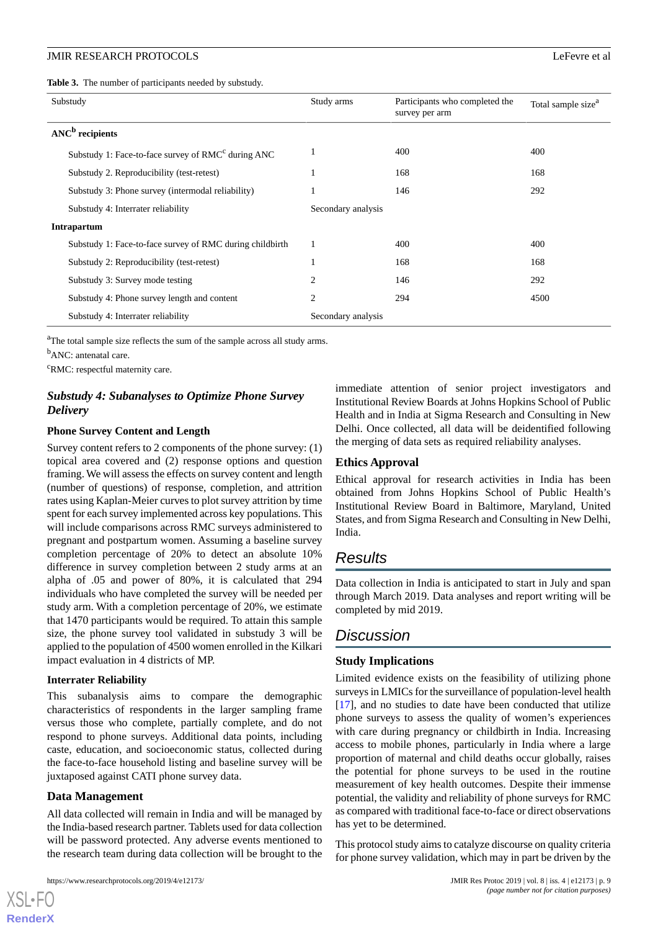<span id="page-8-0"></span>**Table 3.** The number of participants needed by substudy.

| Substudy                                                       | Study arms         | Participants who completed the<br>survey per arm | Total sample size <sup>a</sup> |
|----------------------------------------------------------------|--------------------|--------------------------------------------------|--------------------------------|
| $ANCb$ recipients                                              |                    |                                                  |                                |
| Substudy 1: Face-to-face survey of RMC <sup>c</sup> during ANC |                    | 400                                              | 400                            |
| Substudy 2. Reproducibility (test-retest)                      |                    | 168                                              | 168                            |
| Substudy 3: Phone survey (intermodal reliability)              |                    | 146                                              | 292                            |
| Substudy 4: Interrater reliability                             | Secondary analysis |                                                  |                                |
| Intrapartum                                                    |                    |                                                  |                                |
| Substudy 1: Face-to-face survey of RMC during child birth      | 1                  | 400                                              | 400                            |
| Substudy 2: Reproducibility (test-retest)                      |                    | 168                                              | 168                            |
| Substudy 3: Survey mode testing                                | $\overline{c}$     | 146                                              | 292                            |
| Substudy 4: Phone survey length and content                    | $\overline{2}$     | 294                                              | 4500                           |
| Substudy 4: Interrater reliability                             | Secondary analysis |                                                  |                                |

<sup>a</sup>The total sample size reflects the sum of the sample across all study arms.

<sup>b</sup>ANC: antenatal care.

<sup>c</sup>RMC: respectful maternity care.

# *Substudy 4: Subanalyses to Optimize Phone Survey Delivery*

#### **Phone Survey Content and Length**

Survey content refers to 2 components of the phone survey: (1) topical area covered and (2) response options and question framing. We will assess the effects on survey content and length (number of questions) of response, completion, and attrition rates using Kaplan-Meier curves to plot survey attrition by time spent for each survey implemented across key populations. This will include comparisons across RMC surveys administered to pregnant and postpartum women. Assuming a baseline survey completion percentage of 20% to detect an absolute 10% difference in survey completion between 2 study arms at an alpha of .05 and power of 80%, it is calculated that 294 individuals who have completed the survey will be needed per study arm. With a completion percentage of 20%, we estimate that 1470 participants would be required. To attain this sample size, the phone survey tool validated in substudy 3 will be applied to the population of 4500 women enrolled in the Kilkari impact evaluation in 4 districts of MP.

#### **Interrater Reliability**

This subanalysis aims to compare the demographic characteristics of respondents in the larger sampling frame versus those who complete, partially complete, and do not respond to phone surveys. Additional data points, including caste, education, and socioeconomic status, collected during the face-to-face household listing and baseline survey will be juxtaposed against CATI phone survey data.

#### **Data Management**

[XSL](http://www.w3.org/Style/XSL)•FO **[RenderX](http://www.renderx.com/)**

All data collected will remain in India and will be managed by the India-based research partner. Tablets used for data collection will be password protected. Any adverse events mentioned to the research team during data collection will be brought to the

immediate attention of senior project investigators and Institutional Review Boards at Johns Hopkins School of Public Health and in India at Sigma Research and Consulting in New Delhi. Once collected, all data will be deidentified following the merging of data sets as required reliability analyses.

#### **Ethics Approval**

Ethical approval for research activities in India has been obtained from Johns Hopkins School of Public Health's Institutional Review Board in Baltimore, Maryland, United States, and from Sigma Research and Consulting in New Delhi, India.

# *Results*

Data collection in India is anticipated to start in July and span through March 2019. Data analyses and report writing will be completed by mid 2019.

# *Discussion*

### **Study Implications**

Limited evidence exists on the feasibility of utilizing phone surveys in LMICs for the surveillance of population-level health [[17\]](#page-11-2), and no studies to date have been conducted that utilize phone surveys to assess the quality of women's experiences with care during pregnancy or childbirth in India. Increasing access to mobile phones, particularly in India where a large proportion of maternal and child deaths occur globally, raises the potential for phone surveys to be used in the routine measurement of key health outcomes. Despite their immense potential, the validity and reliability of phone surveys for RMC as compared with traditional face-to-face or direct observations has yet to be determined.

This protocol study aims to catalyze discourse on quality criteria for phone survey validation, which may in part be driven by the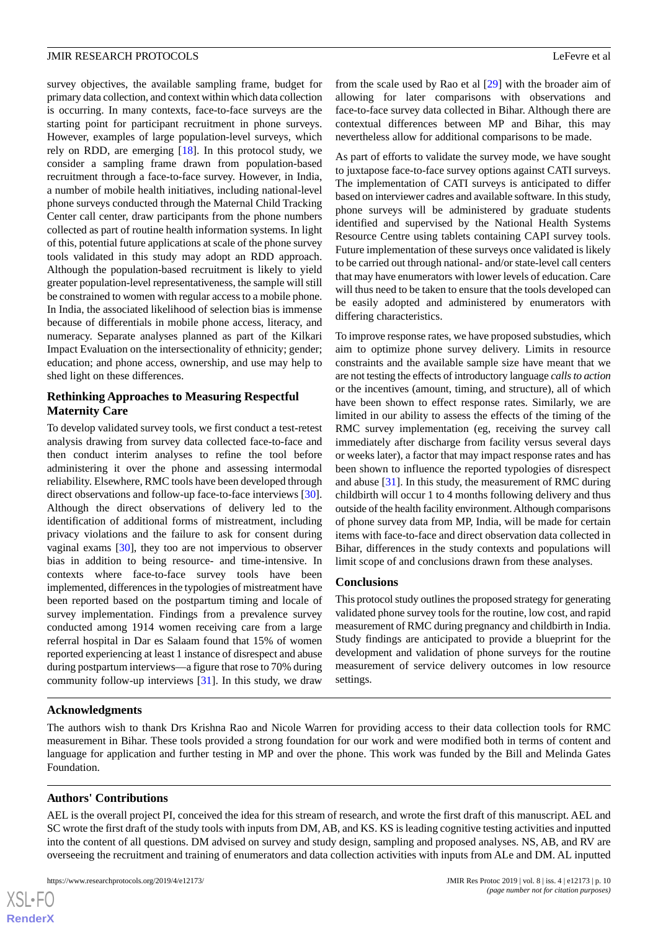survey objectives, the available sampling frame, budget for primary data collection, and context within which data collection is occurring. In many contexts, face-to-face surveys are the starting point for participant recruitment in phone surveys. However, examples of large population-level surveys, which rely on RDD, are emerging [[18\]](#page-11-3). In this protocol study, we consider a sampling frame drawn from population-based recruitment through a face-to-face survey. However, in India, a number of mobile health initiatives, including national-level phone surveys conducted through the Maternal Child Tracking Center call center, draw participants from the phone numbers collected as part of routine health information systems. In light of this, potential future applications at scale of the phone survey tools validated in this study may adopt an RDD approach. Although the population-based recruitment is likely to yield greater population-level representativeness, the sample will still be constrained to women with regular access to a mobile phone. In India, the associated likelihood of selection bias is immense because of differentials in mobile phone access, literacy, and numeracy. Separate analyses planned as part of the Kilkari Impact Evaluation on the intersectionality of ethnicity; gender; education; and phone access, ownership, and use may help to shed light on these differences.

#### **Rethinking Approaches to Measuring Respectful Maternity Care**

To develop validated survey tools, we first conduct a test-retest analysis drawing from survey data collected face-to-face and then conduct interim analyses to refine the tool before administering it over the phone and assessing intermodal reliability. Elsewhere, RMC tools have been developed through direct observations and follow-up face-to-face interviews [[30\]](#page-11-12). Although the direct observations of delivery led to the identification of additional forms of mistreatment, including privacy violations and the failure to ask for consent during vaginal exams [[30\]](#page-11-12), they too are not impervious to observer bias in addition to being resource- and time-intensive. In contexts where face-to-face survey tools have been implemented, differences in the typologies of mistreatment have been reported based on the postpartum timing and locale of survey implementation. Findings from a prevalence survey conducted among 1914 women receiving care from a large referral hospital in Dar es Salaam found that 15% of women reported experiencing at least 1 instance of disrespect and abuse during postpartum interviews—a figure that rose to 70% during community follow-up interviews [[31\]](#page-11-13). In this study, we draw

from the scale used by Rao et al [[29\]](#page-11-11) with the broader aim of allowing for later comparisons with observations and face-to-face survey data collected in Bihar. Although there are contextual differences between MP and Bihar, this may nevertheless allow for additional comparisons to be made.

As part of efforts to validate the survey mode, we have sought to juxtapose face-to-face survey options against CATI surveys. The implementation of CATI surveys is anticipated to differ based on interviewer cadres and available software. In this study, phone surveys will be administered by graduate students identified and supervised by the National Health Systems Resource Centre using tablets containing CAPI survey tools. Future implementation of these surveys once validated is likely to be carried out through national- and/or state-level call centers that may have enumerators with lower levels of education. Care will thus need to be taken to ensure that the tools developed can be easily adopted and administered by enumerators with differing characteristics.

To improve response rates, we have proposed substudies, which aim to optimize phone survey delivery. Limits in resource constraints and the available sample size have meant that we are not testing the effects of introductory language *calls to action* or the incentives (amount, timing, and structure), all of which have been shown to effect response rates. Similarly, we are limited in our ability to assess the effects of the timing of the RMC survey implementation (eg, receiving the survey call immediately after discharge from facility versus several days or weeks later), a factor that may impact response rates and has been shown to influence the reported typologies of disrespect and abuse [[31\]](#page-11-13). In this study, the measurement of RMC during childbirth will occur 1 to 4 months following delivery and thus outside of the health facility environment. Although comparisons of phone survey data from MP, India, will be made for certain items with face-to-face and direct observation data collected in Bihar, differences in the study contexts and populations will limit scope of and conclusions drawn from these analyses.

#### **Conclusions**

This protocol study outlines the proposed strategy for generating validated phone survey tools for the routine, low cost, and rapid measurement of RMC during pregnancy and childbirth in India. Study findings are anticipated to provide a blueprint for the development and validation of phone surveys for the routine measurement of service delivery outcomes in low resource settings.

#### **Acknowledgments**

The authors wish to thank Drs Krishna Rao and Nicole Warren for providing access to their data collection tools for RMC measurement in Bihar. These tools provided a strong foundation for our work and were modified both in terms of content and language for application and further testing in MP and over the phone. This work was funded by the Bill and Melinda Gates Foundation.

#### **Authors' Contributions**

AEL is the overall project PI, conceived the idea for this stream of research, and wrote the first draft of this manuscript. AEL and SC wrote the first draft of the study tools with inputs from DM, AB, and KS. KS is leading cognitive testing activities and inputted into the content of all questions. DM advised on survey and study design, sampling and proposed analyses. NS, AB, and RV are overseeing the recruitment and training of enumerators and data collection activities with inputs from ALe and DM. AL inputted

 $XS$ -FO **[RenderX](http://www.renderx.com/)**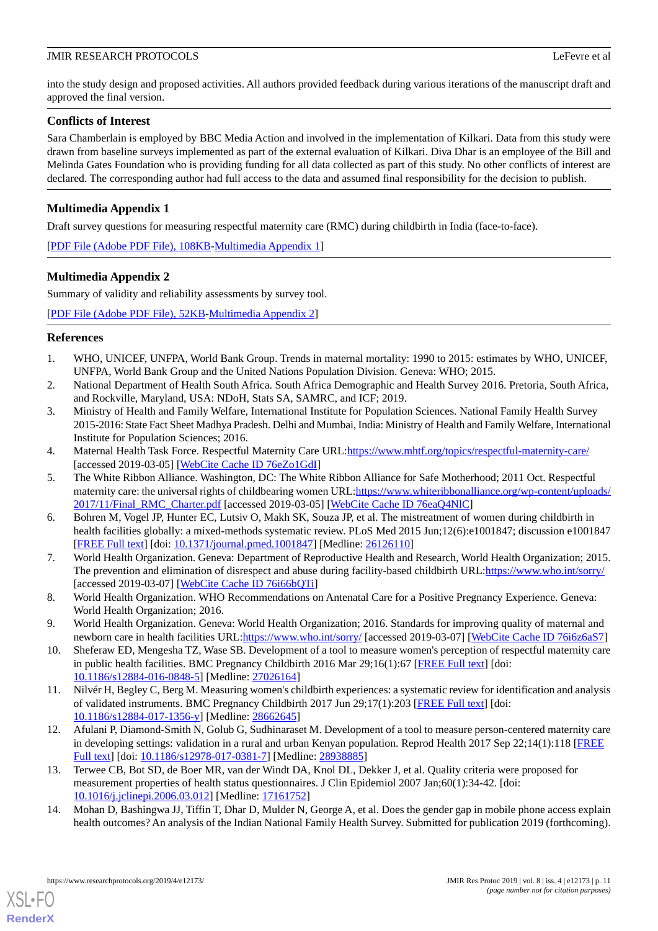into the study design and proposed activities. All authors provided feedback during various iterations of the manuscript draft and approved the final version.

# **Conflicts of Interest**

Sara Chamberlain is employed by BBC Media Action and involved in the implementation of Kilkari. Data from this study were drawn from baseline surveys implemented as part of the external evaluation of Kilkari. Diva Dhar is an employee of the Bill and Melinda Gates Foundation who is providing funding for all data collected as part of this study. No other conflicts of interest are declared. The corresponding author had full access to the data and assumed final responsibility for the decision to publish.

# <span id="page-10-14"></span>**Multimedia Appendix 1**

Draft survey questions for measuring respectful maternity care (RMC) during childbirth in India (face-to-face).

<span id="page-10-15"></span>[[PDF File \(Adobe PDF File\), 108KB-Multimedia Appendix 1\]](https://jmir.org/api/download?alt_name=resprot_v8i4e12173_app1.pdf&filename=843696bc64e6436da5cbce456e2cb9b5.pdf)

# **Multimedia Appendix 2**

Summary of validity and reliability assessments by survey tool.

<span id="page-10-0"></span>[[PDF File \(Adobe PDF File\), 52KB-Multimedia Appendix 2\]](https://jmir.org/api/download?alt_name=resprot_v8i4e12173_app2.pdf&filename=a97fd45dcadf6e2118643dbe5e6d0976.pdf)

# <span id="page-10-1"></span>**References**

- <span id="page-10-2"></span>1. WHO, UNICEF, UNFPA, World Bank Group. Trends in maternal mortality: 1990 to 2015: estimates by WHO, UNICEF, UNFPA, World Bank Group and the United Nations Population Division. Geneva: WHO; 2015.
- 2. National Department of Health South Africa. South Africa Demographic and Health Survey 2016. Pretoria, South Africa, and Rockville, Maryland, USA: NDoH, Stats SA, SAMRC, and ICF; 2019.
- <span id="page-10-4"></span><span id="page-10-3"></span>3. Ministry of Health and Family Welfare, International Institute for Population Sciences. National Family Health Survey 2015-2016: State Fact Sheet Madhya Pradesh. Delhi and Mumbai, India: Ministry of Health and Family Welfare, International Institute for Population Sciences; 2016.
- 4. Maternal Health Task Force. Respectful Maternity Care URL[:https://www.mhtf.org/topics/respectful-maternity-care/](https://www.mhtf.org/topics/respectful-maternity-care/) [accessed 2019-03-05] [\[WebCite Cache ID 76eZo1GdI](http://www.webcitation.org/
                                76eZo1GdI)]
- <span id="page-10-5"></span>5. The White Ribbon Alliance. Washington, DC: The White Ribbon Alliance for Safe Motherhood; 2011 Oct. Respectful maternity care: the universal rights of childbearing women URL: [https://www.whiteribbonalliance.org/wp-content/uploads/](https://www.whiteribbonalliance.org/wp-content/uploads/2017/11/Final_RMC_Charter.pdf) [2017/11/Final\\_RMC\\_Charter.pdf](https://www.whiteribbonalliance.org/wp-content/uploads/2017/11/Final_RMC_Charter.pdf) [accessed 2019-03-05] [\[WebCite Cache ID 76eaQ4NlC\]](http://www.webcitation.org/
                                76eaQ4NlC)
- <span id="page-10-6"></span>6. Bohren M, Vogel JP, Hunter EC, Lutsiv O, Makh SK, Souza JP, et al. The mistreatment of women during childbirth in health facilities globally: a mixed-methods systematic review. PLoS Med 2015 Jun;12(6):e1001847; discussion e1001847 [[FREE Full text](http://dx.plos.org/10.1371/journal.pmed.1001847)] [doi: [10.1371/journal.pmed.1001847](http://dx.doi.org/10.1371/journal.pmed.1001847)] [Medline: [26126110](http://www.ncbi.nlm.nih.gov/entrez/query.fcgi?cmd=Retrieve&db=PubMed&list_uids=26126110&dopt=Abstract)]
- <span id="page-10-8"></span><span id="page-10-7"></span>7. World Health Organization. Geneva: Department of Reproductive Health and Research, World Health Organization; 2015. The prevention and elimination of disrespect and abuse during facility-based childbirth URL[:https://www.who.int/sorry/](https://www.who.int/sorry/) [accessed 2019-03-07] [\[WebCite Cache ID 76i66bQTi](http://www.webcitation.org/
                                76i66bQTi)]
- <span id="page-10-9"></span>8. World Health Organization. WHO Recommendations on Antenatal Care for a Positive Pregnancy Experience. Geneva: World Health Organization; 2016.
- <span id="page-10-11"></span>9. World Health Organization. Geneva: World Health Organization; 2016. Standards for improving quality of maternal and newborn care in health facilities URL:<https://www.who.int/sorry/> [accessed 2019-03-07] [[WebCite Cache ID 76i6z6aS7\]](http://www.webcitation.org/
                                76i6z6aS7)
- <span id="page-10-10"></span>10. Sheferaw ED, Mengesha TZ, Wase SB. Development of a tool to measure women's perception of respectful maternity care in public health facilities. BMC Pregnancy Childbirth 2016 Mar 29;16(1):67 [\[FREE Full text](https://bmcpregnancychildbirth.biomedcentral.com/articles/10.1186/s12884-016-0848-5)] [doi: [10.1186/s12884-016-0848-5\]](http://dx.doi.org/10.1186/s12884-016-0848-5) [Medline: [27026164](http://www.ncbi.nlm.nih.gov/entrez/query.fcgi?cmd=Retrieve&db=PubMed&list_uids=27026164&dopt=Abstract)]
- <span id="page-10-12"></span>11. Nilvér H, Begley C, Berg M. Measuring women's childbirth experiences: a systematic review for identification and analysis of validated instruments. BMC Pregnancy Childbirth 2017 Jun 29;17(1):203 [[FREE Full text](https://bmcpregnancychildbirth.biomedcentral.com/articles/10.1186/s12884-017-1356-y)] [doi: [10.1186/s12884-017-1356-y\]](http://dx.doi.org/10.1186/s12884-017-1356-y) [Medline: [28662645](http://www.ncbi.nlm.nih.gov/entrez/query.fcgi?cmd=Retrieve&db=PubMed&list_uids=28662645&dopt=Abstract)]
- <span id="page-10-13"></span>12. Afulani P, Diamond-Smith N, Golub G, Sudhinaraset M. Development of a tool to measure person-centered maternity care in developing settings: validation in a rural and urban Kenyan population. Reprod Health 2017 Sep 22;14(1):118 [\[FREE](https://reproductive-health-journal.biomedcentral.com/articles/10.1186/s12978-017-0381-7) [Full text\]](https://reproductive-health-journal.biomedcentral.com/articles/10.1186/s12978-017-0381-7) [doi: [10.1186/s12978-017-0381-7](http://dx.doi.org/10.1186/s12978-017-0381-7)] [Medline: [28938885](http://www.ncbi.nlm.nih.gov/entrez/query.fcgi?cmd=Retrieve&db=PubMed&list_uids=28938885&dopt=Abstract)]
- 13. Terwee CB, Bot SD, de Boer MR, van der Windt DA, Knol DL, Dekker J, et al. Quality criteria were proposed for measurement properties of health status questionnaires. J Clin Epidemiol 2007 Jan;60(1):34-42. [doi: [10.1016/j.jclinepi.2006.03.012\]](http://dx.doi.org/10.1016/j.jclinepi.2006.03.012) [Medline: [17161752](http://www.ncbi.nlm.nih.gov/entrez/query.fcgi?cmd=Retrieve&db=PubMed&list_uids=17161752&dopt=Abstract)]
- 14. Mohan D, Bashingwa JJ, Tiffin T, Dhar D, Mulder N, George A, et al. Does the gender gap in mobile phone access explain health outcomes? An analysis of the Indian National Family Health Survey. Submitted for publication 2019 (forthcoming).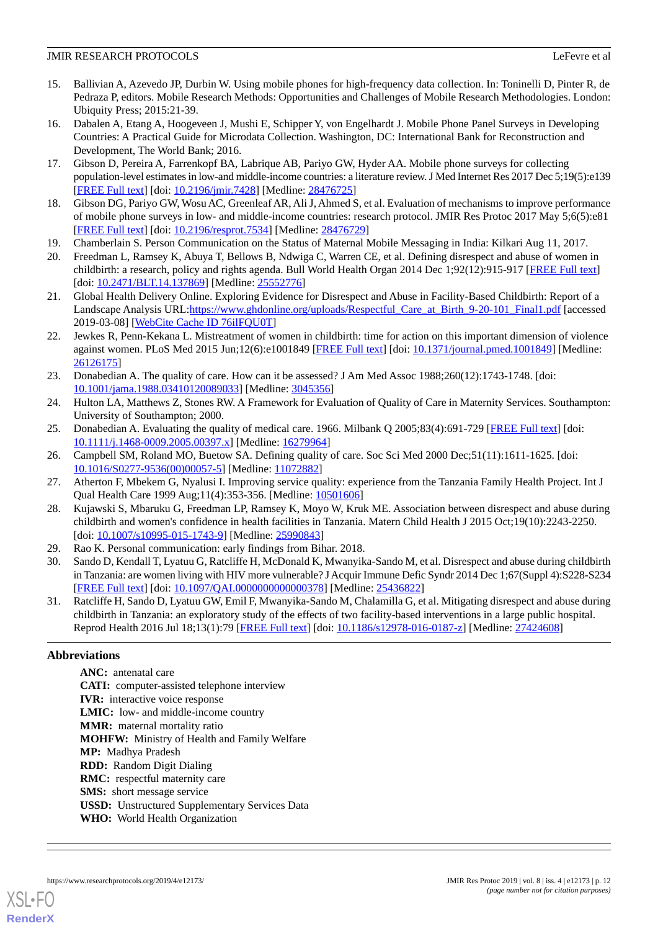- <span id="page-11-0"></span>15. Ballivian A, Azevedo JP, Durbin W. Using mobile phones for high-frequency data collection. In: Toninelli D, Pinter R, de Pedraza P, editors. Mobile Research Methods: Opportunities and Challenges of Mobile Research Methodologies. London: Ubiquity Press; 2015:21-39.
- <span id="page-11-1"></span>16. Dabalen A, Etang A, Hoogeveen J, Mushi E, Schipper Y, von Engelhardt J. Mobile Phone Panel Surveys in Developing Countries: A Practical Guide for Microdata Collection. Washington, DC: International Bank for Reconstruction and Development, The World Bank; 2016.
- <span id="page-11-3"></span><span id="page-11-2"></span>17. Gibson D, Pereira A, Farrenkopf BA, Labrique AB, Pariyo GW, Hyder AA. Mobile phone surveys for collecting population-level estimates in low-and middle-income countries: a literature review. J Med Internet Res 2017 Dec 5;19(5):e139 [[FREE Full text](http://www.jmir.org/2017/5/e139/)] [doi: [10.2196/jmir.7428](http://dx.doi.org/10.2196/jmir.7428)] [Medline: [28476725](http://www.ncbi.nlm.nih.gov/entrez/query.fcgi?cmd=Retrieve&db=PubMed&list_uids=28476725&dopt=Abstract)]
- <span id="page-11-4"></span>18. Gibson DG, Pariyo GW, Wosu AC, Greenleaf AR, Ali J, Ahmed S, et al. Evaluation of mechanisms to improve performance of mobile phone surveys in low- and middle-income countries: research protocol. JMIR Res Protoc 2017 May 5;6(5):e81 [[FREE Full text](http://www.researchprotocols.org/2017/5/e81/)] [doi: [10.2196/resprot.7534](http://dx.doi.org/10.2196/resprot.7534)] [Medline: [28476729\]](http://www.ncbi.nlm.nih.gov/entrez/query.fcgi?cmd=Retrieve&db=PubMed&list_uids=28476729&dopt=Abstract)
- <span id="page-11-5"></span>19. Chamberlain S. Person Communication on the Status of Maternal Mobile Messaging in India: Kilkari Aug 11, 2017.
- <span id="page-11-6"></span>20. Freedman L, Ramsey K, Abuya T, Bellows B, Ndwiga C, Warren CE, et al. Defining disrespect and abuse of women in childbirth: a research, policy and rights agenda. Bull World Health Organ 2014 Dec 1;92(12):915-917 [\[FREE Full text\]](http://www.scielosp.org/scielo.php?script=sci_arttext&pid=BLT.14.137869&lng=en&nrm=iso&tlng=en) [doi: [10.2471/BLT.14.137869](http://dx.doi.org/10.2471/BLT.14.137869)] [Medline: [25552776](http://www.ncbi.nlm.nih.gov/entrez/query.fcgi?cmd=Retrieve&db=PubMed&list_uids=25552776&dopt=Abstract)]
- <span id="page-11-7"></span>21. Global Health Delivery Online. Exploring Evidence for Disrespect and Abuse in Facility-Based Childbirth: Report of a Landscape Analysis URL:https://www.ghdonline.org/uploads/Respectful Care at Birth 9-20-101 Final1.pdf [accessed 2019-03-08] [\[WebCite Cache ID 76ilFQU0T\]](http://www.webcitation.org/
                                76ilFQU0T)
- <span id="page-11-8"></span>22. Jewkes R, Penn-Kekana L. Mistreatment of women in childbirth: time for action on this important dimension of violence against women. PLoS Med 2015 Jun;12(6):e1001849 [\[FREE Full text](http://dx.plos.org/10.1371/journal.pmed.1001849)] [doi: [10.1371/journal.pmed.1001849\]](http://dx.doi.org/10.1371/journal.pmed.1001849) [Medline: [26126175](http://www.ncbi.nlm.nih.gov/entrez/query.fcgi?cmd=Retrieve&db=PubMed&list_uids=26126175&dopt=Abstract)]
- 23. Donabedian A. The quality of care. How can it be assessed? J Am Med Assoc 1988;260(12):1743-1748. [doi: [10.1001/jama.1988.03410120089033](http://dx.doi.org/10.1001/jama.1988.03410120089033)] [Medline: [3045356](http://www.ncbi.nlm.nih.gov/entrez/query.fcgi?cmd=Retrieve&db=PubMed&list_uids=3045356&dopt=Abstract)]
- 24. Hulton LA, Matthews Z, Stones RW. A Framework for Evaluation of Quality of Care in Maternity Services. Southampton: University of Southampton; 2000.
- <span id="page-11-9"></span>25. Donabedian A. Evaluating the quality of medical care. 1966. Milbank Q 2005;83(4):691-729 [[FREE Full text](http://europepmc.org/abstract/MED/16279964)] [doi: [10.1111/j.1468-0009.2005.00397.x\]](http://dx.doi.org/10.1111/j.1468-0009.2005.00397.x) [Medline: [16279964\]](http://www.ncbi.nlm.nih.gov/entrez/query.fcgi?cmd=Retrieve&db=PubMed&list_uids=16279964&dopt=Abstract)
- <span id="page-11-10"></span>26. Campbell SM, Roland MO, Buetow SA. Defining quality of care. Soc Sci Med 2000 Dec;51(11):1611-1625. [doi: [10.1016/S0277-9536\(00\)00057-5\]](http://dx.doi.org/10.1016/S0277-9536(00)00057-5) [Medline: [11072882](http://www.ncbi.nlm.nih.gov/entrez/query.fcgi?cmd=Retrieve&db=PubMed&list_uids=11072882&dopt=Abstract)]
- <span id="page-11-11"></span>27. Atherton F, Mbekem G, Nyalusi I. Improving service quality: experience from the Tanzania Family Health Project. Int J Qual Health Care 1999 Aug;11(4):353-356. [Medline: [10501606\]](http://www.ncbi.nlm.nih.gov/entrez/query.fcgi?cmd=Retrieve&db=PubMed&list_uids=10501606&dopt=Abstract)
- <span id="page-11-12"></span>28. Kujawski S, Mbaruku G, Freedman LP, Ramsey K, Moyo W, Kruk ME. Association between disrespect and abuse during childbirth and women's confidence in health facilities in Tanzania. Matern Child Health J 2015 Oct;19(10):2243-2250. [doi: [10.1007/s10995-015-1743-9](http://dx.doi.org/10.1007/s10995-015-1743-9)] [Medline: [25990843\]](http://www.ncbi.nlm.nih.gov/entrez/query.fcgi?cmd=Retrieve&db=PubMed&list_uids=25990843&dopt=Abstract)
- <span id="page-11-13"></span>29. Rao K. Personal communication: early findings from Bihar. 2018.
- 30. Sando D, Kendall T, Lyatuu G, Ratcliffe H, McDonald K, Mwanyika-Sando M, et al. Disrespect and abuse during childbirth in Tanzania: are women living with HIV more vulnerable? J Acquir Immune Defic Syndr 2014 Dec 1;67(Suppl 4):S228-S234 [[FREE Full text](http://europepmc.org/abstract/MED/25436822)] [doi: [10.1097/QAI.0000000000000378](http://dx.doi.org/10.1097/QAI.0000000000000378)] [Medline: [25436822\]](http://www.ncbi.nlm.nih.gov/entrez/query.fcgi?cmd=Retrieve&db=PubMed&list_uids=25436822&dopt=Abstract)
- 31. Ratcliffe H, Sando D, Lyatuu GW, Emil F, Mwanyika-Sando M, Chalamilla G, et al. Mitigating disrespect and abuse during childbirth in Tanzania: an exploratory study of the effects of two facility-based interventions in a large public hospital. Reprod Health 2016 Jul 18;13(1):79 [\[FREE Full text\]](https://reproductive-health-journal.biomedcentral.com/articles/10.1186/s12978-016-0187-z) [doi: [10.1186/s12978-016-0187-z\]](http://dx.doi.org/10.1186/s12978-016-0187-z) [Medline: [27424608](http://www.ncbi.nlm.nih.gov/entrez/query.fcgi?cmd=Retrieve&db=PubMed&list_uids=27424608&dopt=Abstract)]

# **Abbreviations**

**ANC:** antenatal care **CATI:** computer-assisted telephone interview **IVR:** interactive voice response **LMIC:** low- and middle-income country **MMR:** maternal mortality ratio **MOHFW:** Ministry of Health and Family Welfare **MP:** Madhya Pradesh **RDD:** Random Digit Dialing **RMC:** respectful maternity care **SMS:** short message service **USSD:** Unstructured Supplementary Services Data **WHO:** World Health Organization